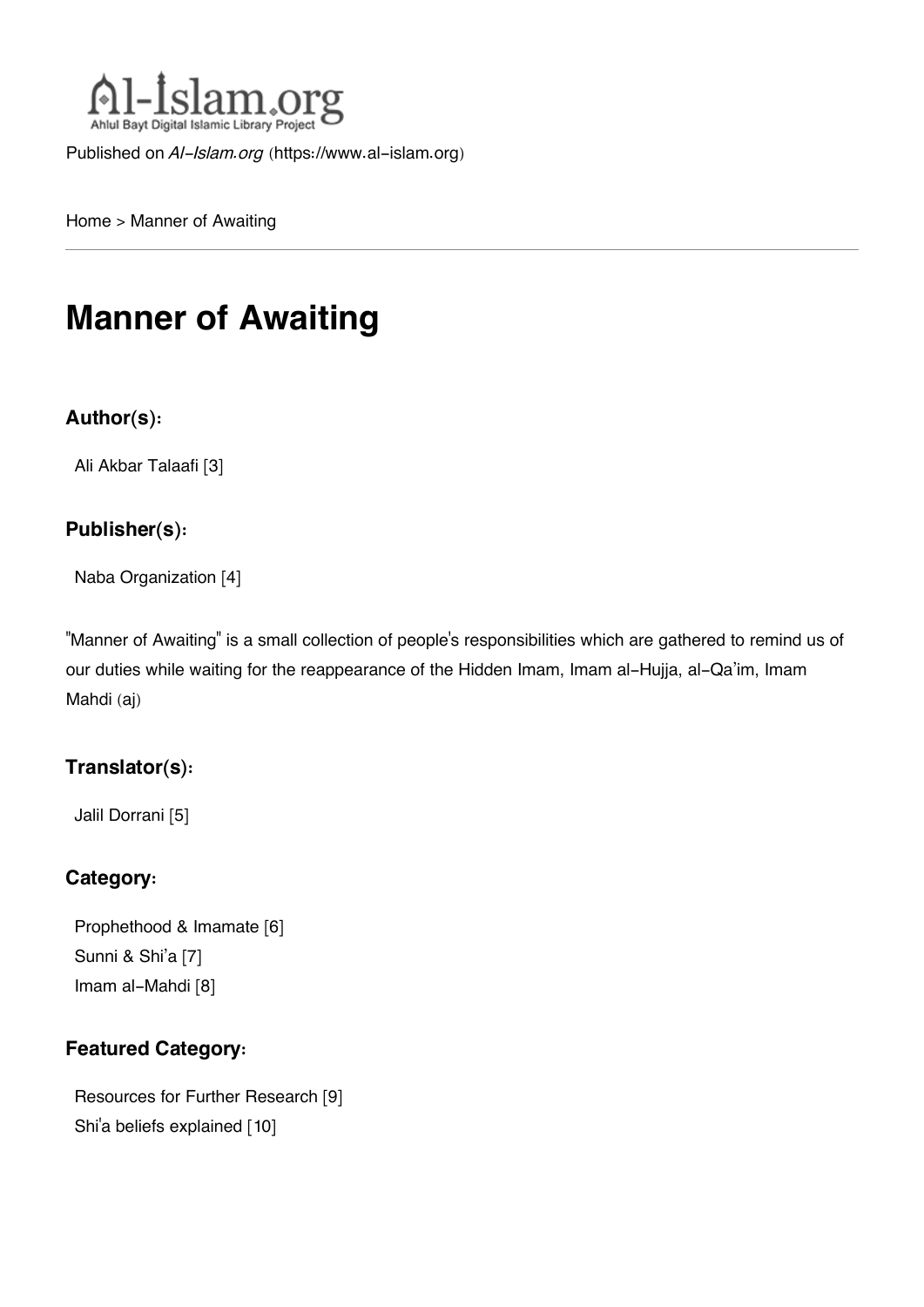

Published on *Al-Islam.org* ([https://www.al-islam.org\)](https://www.al-islam.org)

[Home](https://www.al-islam.org/) > Manner of Awaiting

# **Manner of Awaiting**

#### **Author(s):**

[Ali Akbar Talaafi](https://www.al-islam.org/person/ali-akbar-talaafi) [3]

#### **Publisher(s):**

[Naba Organization](https://www.al-islam.org/organization/naba-organization) [4]

"Manner of Awaiting" is a small collection of people's responsibilities which are gathered to remind us of our duties while waiting for the reappearance of the Hidden Imam, Imam al-Hujja, al-Qa'im, Imam Mahdi (aj)

#### **Translator(s):**

[Jalil Dorrani](https://www.al-islam.org/person/jalil-dorrani) [5]

#### **Category:**

[Prophethood & Imamate](https://www.al-islam.org/library/prophethood-imamate) [6] [Sunni & Shi'a](https://www.al-islam.org/library/sunni-shia) [7] [Imam al-Mahdi](https://www.al-islam.org/library/imam-al-mahdi) [8]

#### **Featured Category:**

[Resources for Further Research](https://www.al-islam.org/feature/resources-further-research) [9] Shi['a beliefs explained](https://www.al-islam.org/feature/shia-beliefs-explained) [10]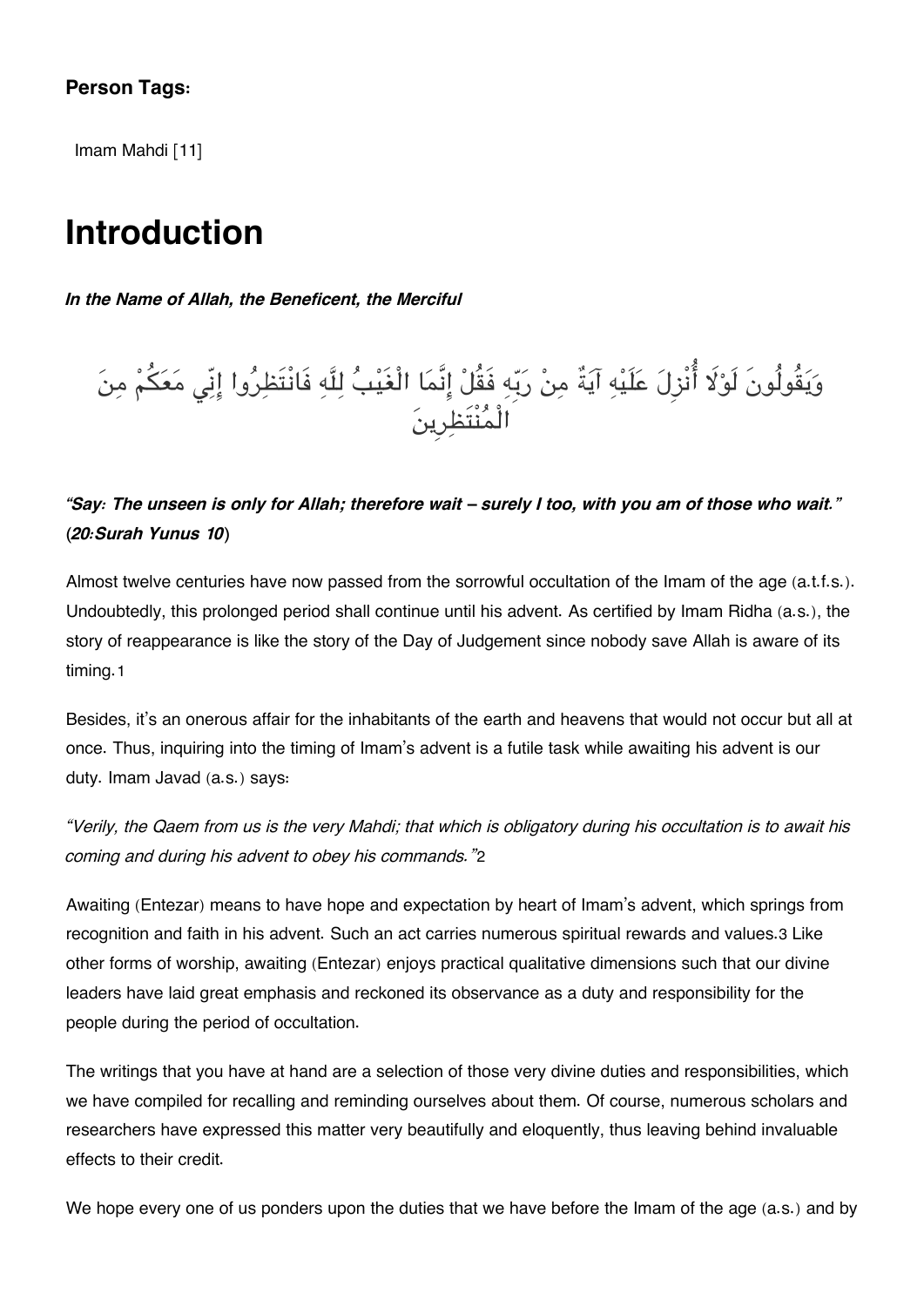#### **Person Tags:**

[Imam Mahdi](https://www.al-islam.org/person/imam-mahdi) [11]

### **Introduction**

*In the Name of Allah, the Beneficent, the Merciful*

# وَيَقُولُونَ لَوْلا أَنْزِلَ عَلَيْهِ آيَةً مِنْ رَبِّهِ فَقُلْ إِنَّمَا الْغَيْبَ لِلَّهِ فَانْتَظِرُوا إِنِّي مَعَكُمْ مِنَ الْمنْتَظرِين

*"Say: The unseen is only for Allah; therefore wait – surely I too, with you am of those who wait." (20:Surah Yunus 10)*

Almost twelve centuries have now passed from the sorrowful occultation of the Imam of the age (a.t.f.s.). Undoubtedly, this prolonged period shall continue until his advent. As certified by Imam Ridha (a.s.), the story of reappearance is like the story of the Day of Judgement since nobody save Allah is aware of its timing.[1](#page--1-0)

Besides, it's an onerous affair for the inhabitants of the earth and heavens that would not occur but all at once. Thus, inquiring into the timing of Imam's advent is a futile task while awaiting his advent is our duty. Imam Javad (a.s.) says:

*"Verily, the Qaem from us is the very Mahdi; that which is obligatory during his occultation is to await his coming and during his advent to obey his commands."*[2](#page--1-0)

Awaiting (Entezar) means to have hope and expectation by heart of Imam's advent, which springs from recognition and faith in his advent. Such an act carries numerous spiritual rewards and values.[3](#page--1-0) Like other forms of worship, awaiting (Entezar) enjoys practical qualitative dimensions such that our divine leaders have laid great emphasis and reckoned its observance as a duty and responsibility for the people during the period of occultation.

The writings that you have at hand are a selection of those very divine duties and responsibilities, which we have compiled for recalling and reminding ourselves about them. Of course, numerous scholars and researchers have expressed this matter very beautifully and eloquently, thus leaving behind invaluable effects to their credit.

We hope every one of us ponders upon the duties that we have before the Imam of the age (a.s.) and by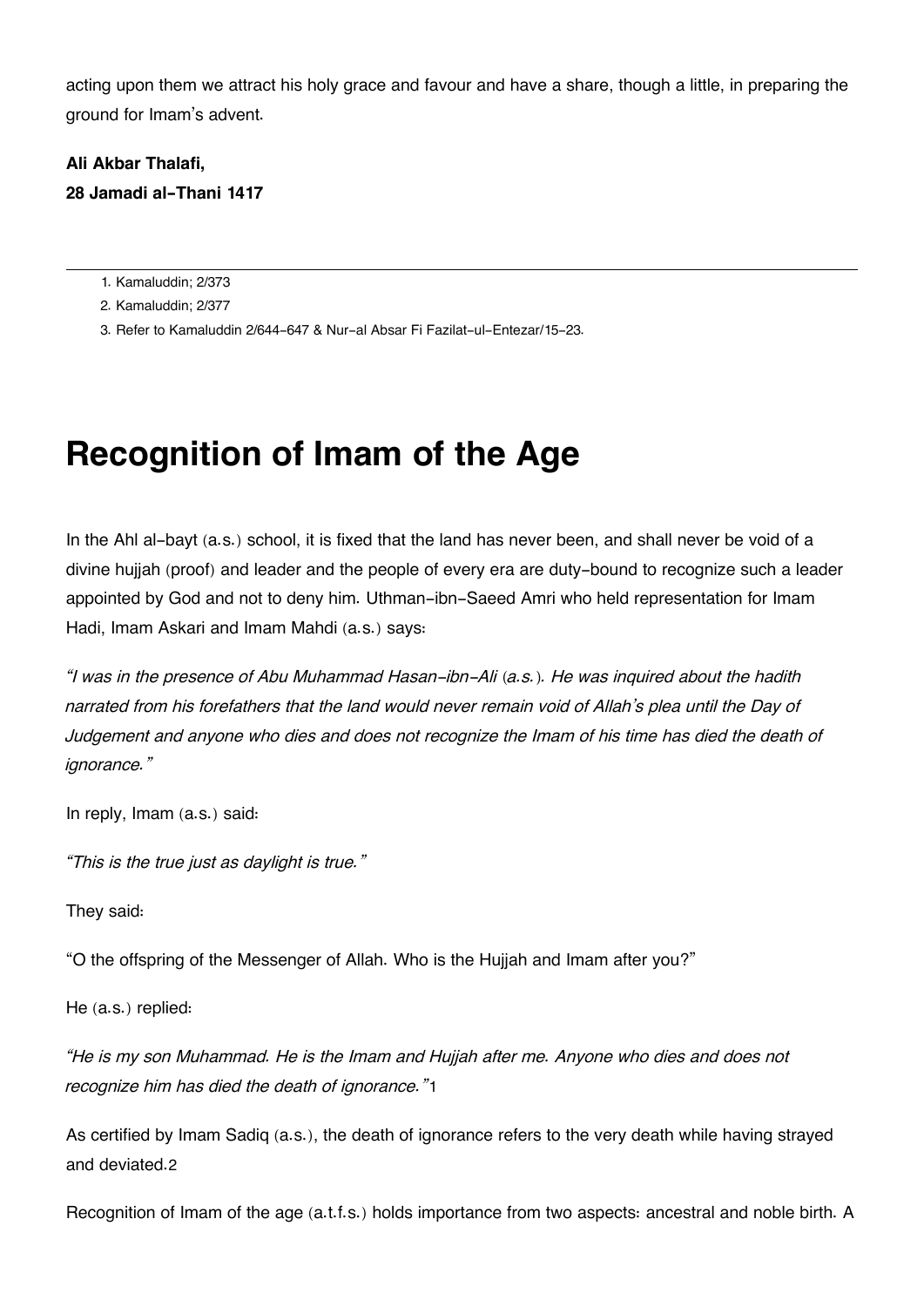acting upon them we attract his holy grace and favour and have a share, though a little, in preparing the ground for Imam's advent.

#### **Ali Akbar Thalafi, 28 Jamadi al-Thani 1417**

[1.](#page--1-0) Kamaluddin; 2/373

[2.](#page--1-0) Kamaluddin; 2/377

[3.](#page--1-0) Refer to Kamaluddin 2/644-647 & Nur-al Absar Fi Fazilat-ul-Entezar/15-23.

# **Recognition of Imam of the Age**

In the Ahl al-bayt (a.s.) school, it is fixed that the land has never been, and shall never be void of a divine hujjah (proof) and leader and the people of every era are duty-bound to recognize such a leader appointed by God and not to deny him. Uthman-ibn-Saeed Amri who held representation for Imam Hadi, Imam Askari and Imam Mahdi (a.s.) says:

*"I was in the presence of Abu Muhammad Hasan-ibn-Ali (a.s.). He was inquired about the hadith narrated from his forefathers that the land would never remain void of Allah's plea until the Day of Judgement and anyone who dies and does not recognize the Imam of his time has died the death of ignorance."*

In reply, Imam (a.s.) said:

*"This is the true just as daylight is true."*

They said:

"O the offspring of the Messenger of Allah. Who is the Hujjah and Imam after you?"

He (a.s.) replied:

*"He is my son Muhammad. He is the Imam and Hujjah after me. Anyone who dies and does not recognize him has died the death of ignorance."*[1](#page--1-0)

As certified by Imam Sadiq (a.s.), the death of ignorance refers to the very death while having strayed and deviated.[2](#page--1-0)

Recognition of Imam of the age (a.t.f.s.) holds importance from two aspects: ancestral and noble birth. A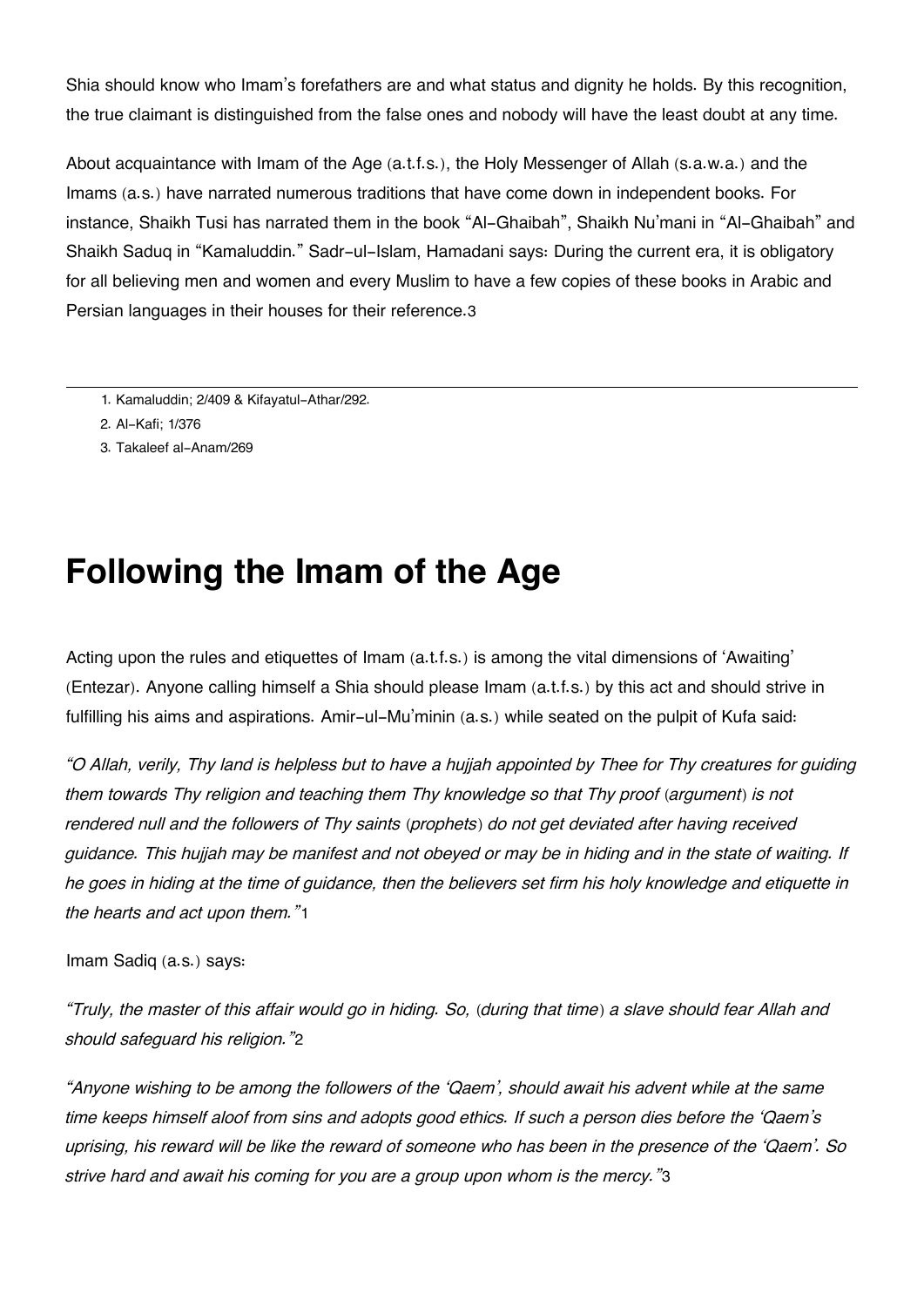Shia should know who Imam's forefathers are and what status and dignity he holds. By this recognition, the true claimant is distinguished from the false ones and nobody will have the least doubt at any time.

About acquaintance with Imam of the Age (a.t.f.s.), the Holy Messenger of Allah (s.a.w.a.) and the Imams (a.s.) have narrated numerous traditions that have come down in independent books. For instance, Shaikh Tusi has narrated them in the book "Al-Ghaibah", Shaikh Nu'mani in "Al-Ghaibah" and Shaikh Saduq in "Kamaluddin." Sadr-ul-Islam, Hamadani says: During the current era, it is obligatory for all believing men and women and every Muslim to have a few copies of these books in Arabic and Persian languages in their houses for their reference.[3](#page--1-0)

- [1.](#page--1-0) Kamaluddin; 2/409 & Kifayatul-Athar/292.
- [2.](#page--1-0) Al-Kafi; 1/376
- [3.](#page--1-0) Takaleef al-Anam/269

### **Following the Imam of the Age**

Acting upon the rules and etiquettes of Imam (a.t.f.s.) is among the vital dimensions of 'Awaiting' (Entezar). Anyone calling himself a Shia should please Imam (a.t.f.s.) by this act and should strive in fulfilling his aims and aspirations. Amir-ul-Mu'minin (a.s.) while seated on the pulpit of Kufa said:

*"O Allah, verily, Thy land is helpless but to have a hujjah appointed by Thee for Thy creatures for guiding them towards Thy religion and teaching them Thy knowledge so that Thy proof (argument) is not rendered null and the followers of Thy saints (prophets) do not get deviated after having received guidance. This hujjah may be manifest and not obeyed or may be in hiding and in the state of waiting. If he goes in hiding at the time of guidance, then the believers set firm his holy knowledge and etiquette in the hearts and act upon them."*[1](#page--1-0)

Imam Sadiq (a.s.) says:

*"Truly, the master of this affair would go in hiding. So, (during that time) a slave should fear Allah and should safeguard his religion."*[2](#page--1-0)

*"Anyone wishing to be among the followers of the 'Qaem', should await his advent while at the same time keeps himself aloof from sins and adopts good ethics. If such a person dies before the 'Qaem's uprising, his reward will be like the reward of someone who has been in the presence of the 'Qaem'. So strive hard and await his coming for you are a group upon whom is the mercy."*[3](#page--1-0)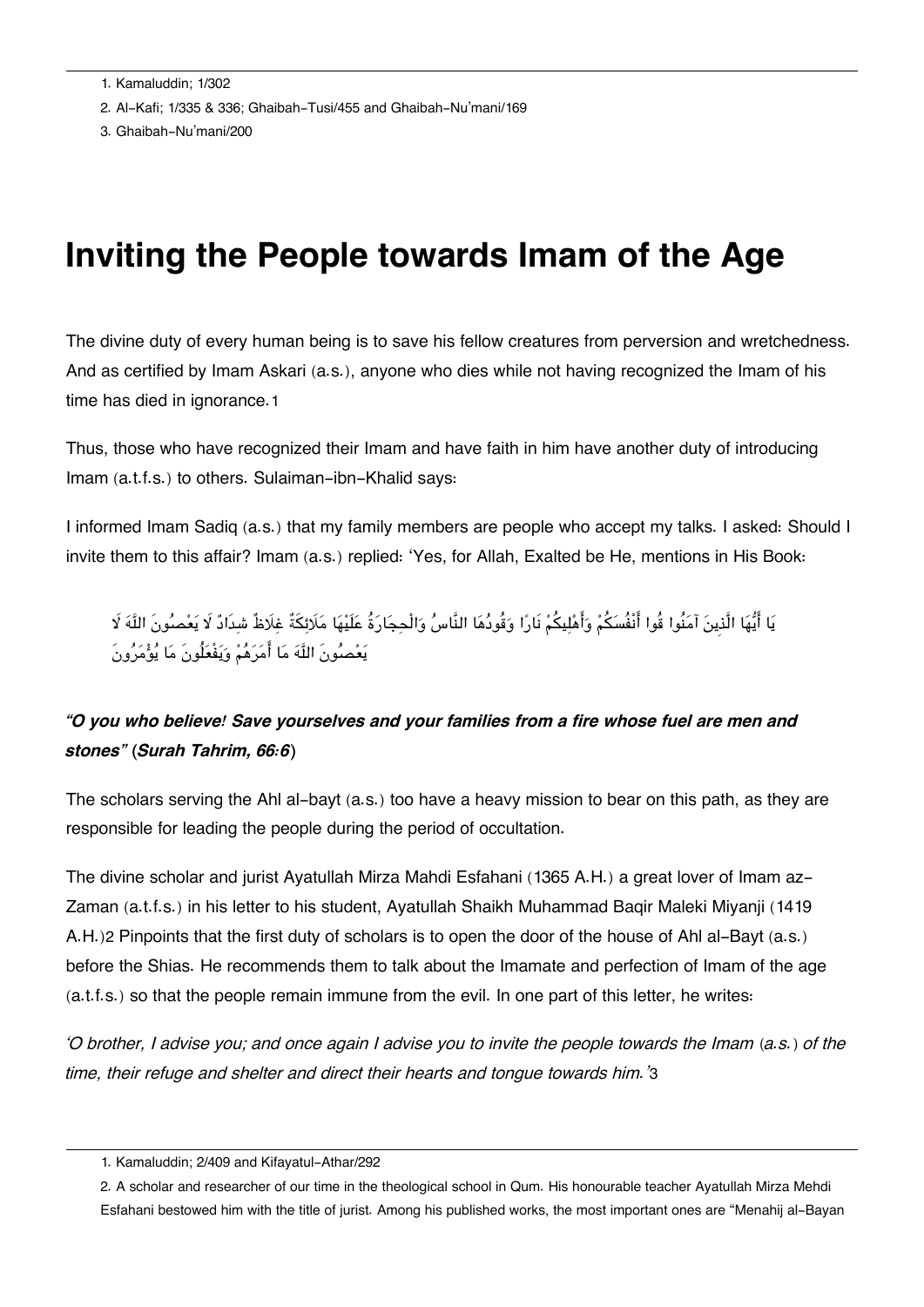- [2.](#page--1-0) Al-Kafi; 1/335 & 336; Ghaibah-Tusi/455 and Ghaibah-Nu'mani/169
- [3.](#page--1-0) Ghaibah-Nu'mani/200

### **Inviting the People towards Imam of the Age**

The divine duty of every human being is to save his fellow creatures from perversion and wretchedness. And as certified by Imam Askari (a.s.), anyone who dies while not having recognized the Imam of his time has died in ignorance.[1](#page--1-0)

Thus, those who have recognized their Imam and have faith in him have another duty of introducing Imam (a.t.f.s.) to others. Sulaiman-ibn-Khalid says:

I informed Imam Sadiq (a.s.) that my family members are people who accept my talks. I asked: Should I invite them to this affair? Imam (a.s.) replied: 'Yes, for Allah, Exalted be He, mentions in His Book:

يَا أَيُّهَا الَّذِينَ آمَنُوا قُوا أَنْفُسَكُمْ وَأَهْلِيكُمْ نَارًا وَقُودُهَا النَّاسُ وَالْحِجَارَةُ عَلَيْهَا مَلَائِكَةٌ غِلَاظٌ شَدَادٌ لَا يَعْصُونَ اللَّهَ لَا يعصونَ اله ما امرهم ويفْعلُونَ ما يومرونَ

#### *"O you who believe! Save yourselves and your families from a fire whose fuel are men and stones" (Surah Tahrim, 66:6)*

The scholars serving the Ahl al-bayt (a.s.) too have a heavy mission to bear on this path, as they are responsible for leading the people during the period of occultation.

The divine scholar and jurist Ayatullah Mirza Mahdi Esfahani (1365 A.H.) a great lover of Imam az-Zaman (a.t.f.s.) in his letter to his student, Ayatullah Shaikh Muhammad Baqir Maleki Miyanji (1419 A.H.)[2](#page--1-0) Pinpoints that the first duty of scholars is to open the door of the house of Ahl al-Bayt (a.s.) before the Shias. He recommends them to talk about the Imamate and perfection of Imam of the age (a.t.f.s.) so that the people remain immune from the evil. In one part of this letter, he writes:

*'O brother, I advise you; and once again I advise you to invite the people towards the Imam (a.s.) of the time, their refuge and shelter and direct their hearts and tongue towards him.'*[3](#page--1-0)

[<sup>1.</sup>](#page--1-0) Kamaluddin; 2/409 and Kifayatul-Athar/292

[<sup>2.</sup>](#page--1-0) A scholar and researcher of our time in the theological school in Qum. His honourable teacher Ayatullah Mirza Mehdi Esfahani bestowed him with the title of jurist. Among his published works, the most important ones are "Menahij al-Bayan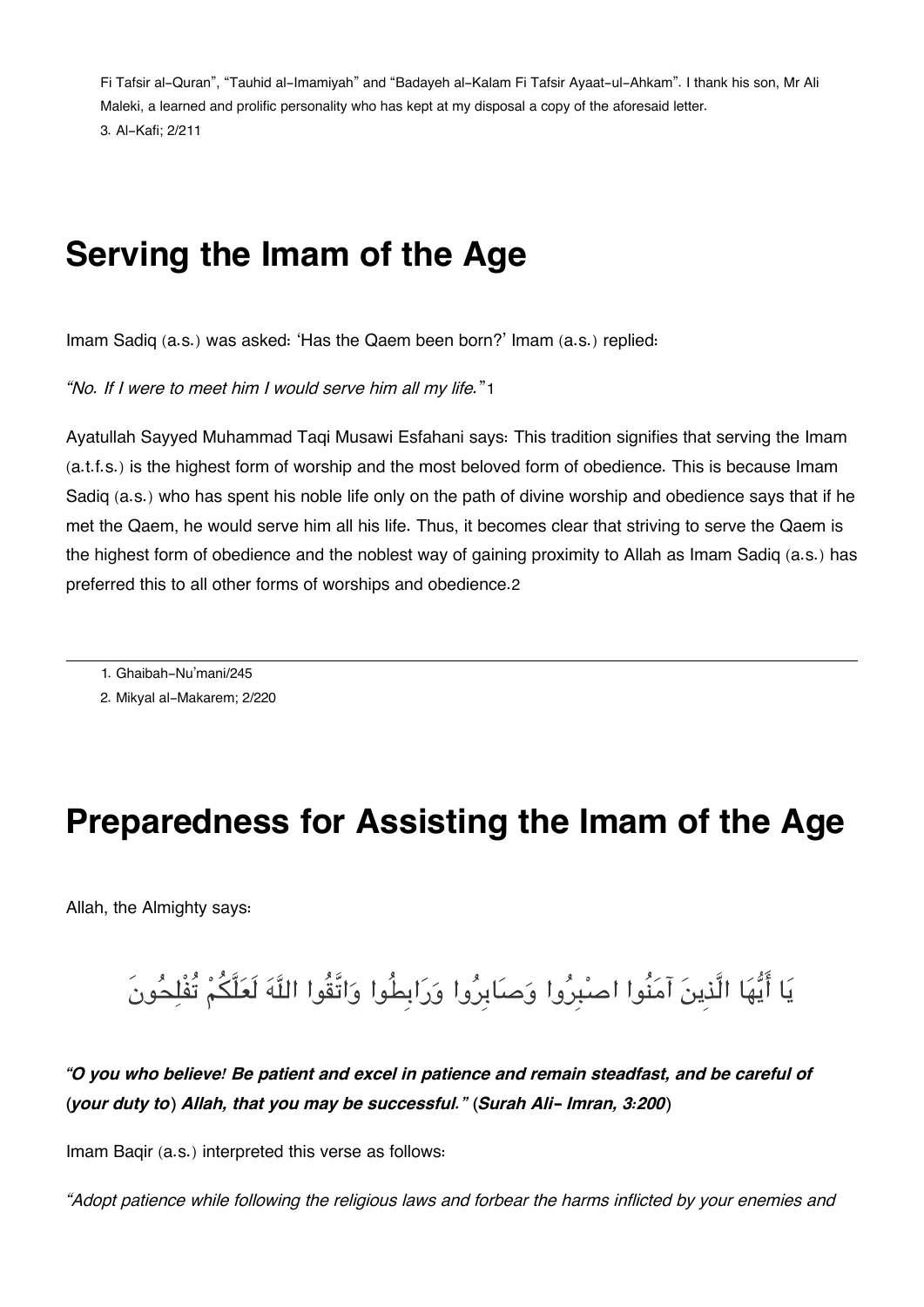Fi Tafsir al-Quran", "Tauhid al-Imamiyah" and "Badayeh al-Kalam Fi Tafsir Ayaat-ul-Ahkam". I thank his son, Mr Ali Maleki, a learned and prolific personality who has kept at my disposal a copy of the aforesaid letter. [3.](#page--1-0) Al-Kafi; 2/211

### **Serving the Imam of the Age**

Imam Sadiq (a.s.) was asked: 'Has the Qaem been born?' Imam (a.s.) replied:

*"No. If I were to meet him I would serve him all my life.*"[1](#page--1-0)

Ayatullah Sayyed Muhammad Taqi Musawi Esfahani says: This tradition signifies that serving the Imam (a.t.f.s.) is the highest form of worship and the most beloved form of obedience. This is because Imam Sadiq (a.s.) who has spent his noble life only on the path of divine worship and obedience says that if he met the Qaem, he would serve him all his life. Thus, it becomes clear that striving to serve the Qaem is the highest form of obedience and the noblest way of gaining proximity to Allah as Imam Sadiq (a.s.) has preferred this to all other forms of worships and obedience.[2](#page--1-0)

[1.](#page--1-0) Ghaibah-Nu'mani/245

[2.](#page--1-0) Mikyal al-Makarem; 2/220

### **Preparedness for Assisting the Imam of the Age**

Allah, the Almighty says:

يا ايها الَّذِين آمنُوا اصبِروا وصابِروا ورابِطُوا واتَّقُوا اله لَعلَّم تُفْلحونَ

*"O you who believe! Be patient and excel in patience and remain steadfast, and be careful of (your duty to) Allah, that you may be successful." (Surah Ali- Imran, 3:200)*

Imam Baqir (a.s.) interpreted this verse as follows:

*"Adopt patience while following the religious laws and forbear the harms inflicted by your enemies and*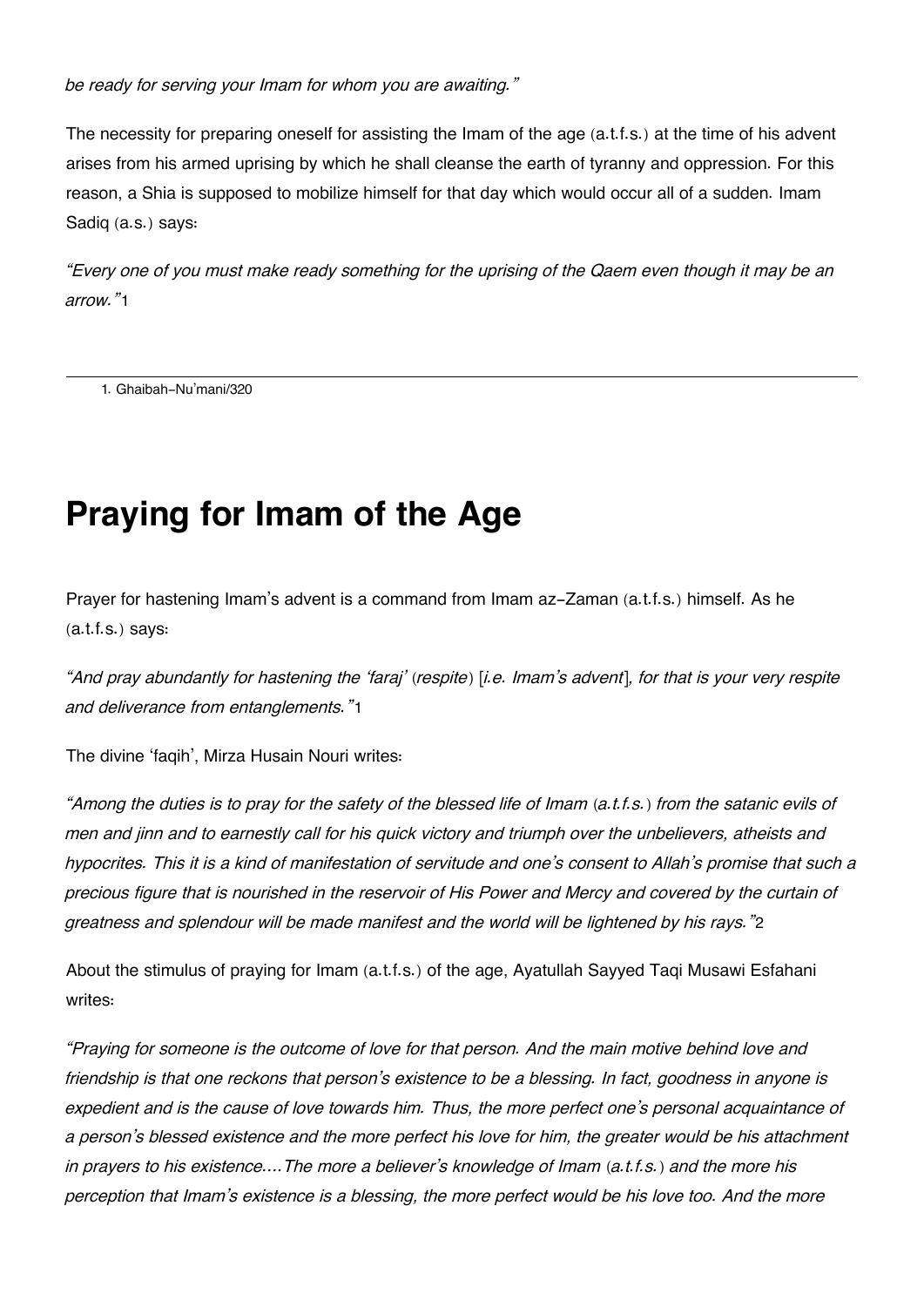*be ready for serving your Imam for whom you are awaiting."*

The necessity for preparing oneself for assisting the Imam of the age (a.t.f.s.) at the time of his advent arises from his armed uprising by which he shall cleanse the earth of tyranny and oppression. For this reason, a Shia is supposed to mobilize himself for that day which would occur all of a sudden. Imam Sadiq (a.s.) says:

*"Every one of you must make ready something for the uprising of the Qaem even though it may be an arrow."*[1](#page--1-0)

[1.](#page--1-0) Ghaibah-Nu'mani/320

# **Praying for Imam of the Age**

Prayer for hastening Imam's advent is a command from Imam az-Zaman (a.t.f.s.) himself. As he (a.t.f.s.) says:

*"And pray abundantly for hastening the 'faraj' (respite) [i.e. Imam's advent], for that is your very respite and deliverance from entanglements."*[1](#page--1-0)

The divine 'faqih', Mirza Husain Nouri writes:

*"Among the duties is to pray for the safety of the blessed life of Imam (a.t.f.s.) from the satanic evils of men and jinn and to earnestly call for his quick victory and triumph over the unbelievers, atheists and hypocrites. This it is a kind of manifestation of servitude and one's consent to Allah's promise that such a precious figure that is nourished in the reservoir of His Power and Mercy and covered by the curtain of greatness and splendour will be made manifest and the world will be lightened by his rays."*[2](#page--1-0)

About the stimulus of praying for Imam (a.t.f.s.) of the age, Ayatullah Sayyed Taqi Musawi Esfahani writes:

*"Praying for someone is the outcome of love for that person. And the main motive behind love and friendship is that one reckons that person's existence to be a blessing. In fact, goodness in anyone is expedient and is the cause of love towards him. Thus, the more perfect one's personal acquaintance of a person's blessed existence and the more perfect his love for him, the greater would be his attachment in prayers to his existence….The more a believer's knowledge of Imam (a.t.f.s.) and the more his perception that Imam's existence is a blessing, the more perfect would be his love too. And the more*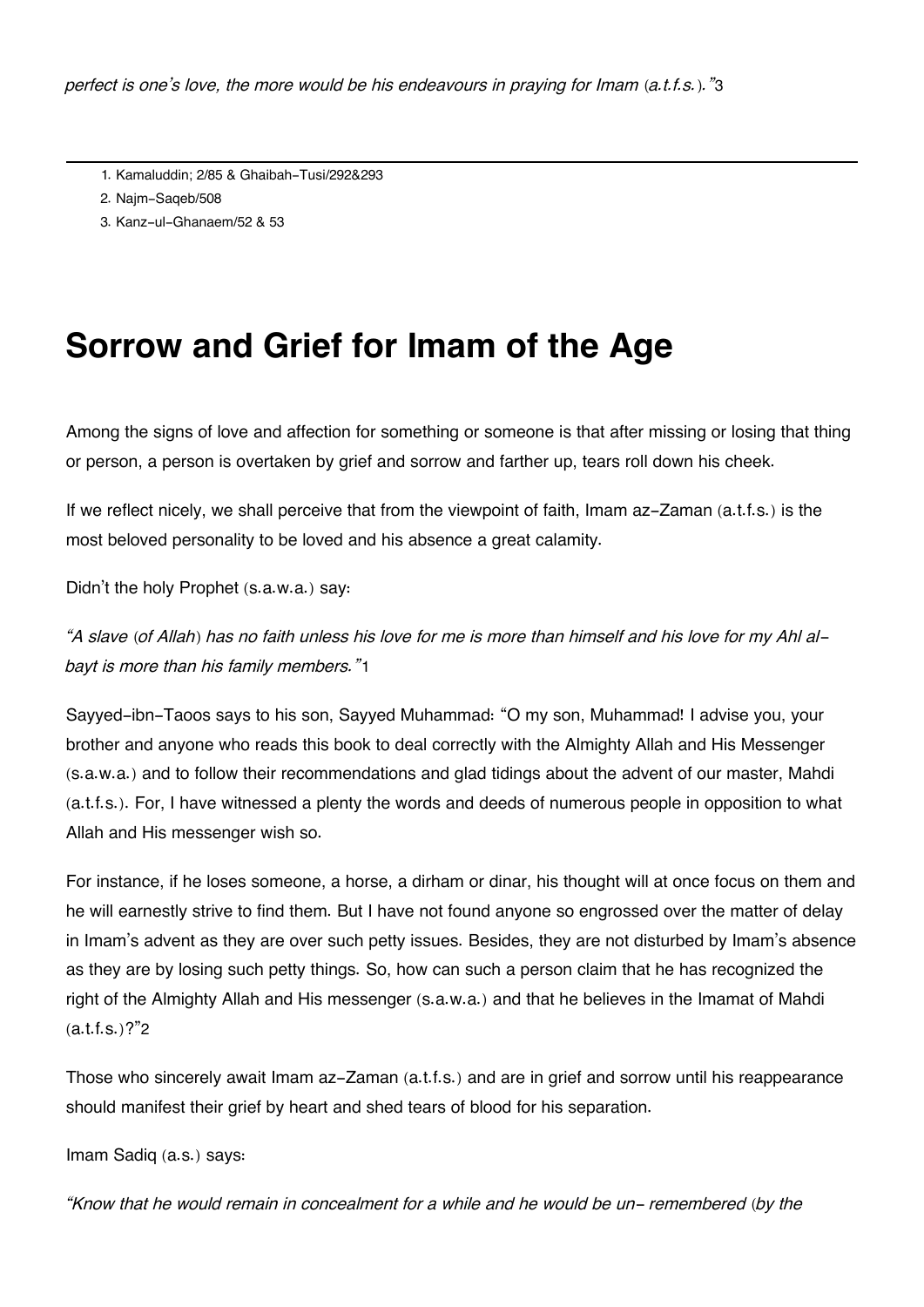- [1.](#page--1-0) Kamaluddin; 2/85 & Ghaibah-Tusi/292&293
- [2.](#page--1-0) Najm-Saqeb/508
- [3.](#page--1-0) Kanz-ul-Ghanaem/52 & 53

## **Sorrow and Grief for Imam of the Age**

Among the signs of love and affection for something or someone is that after missing or losing that thing or person, a person is overtaken by grief and sorrow and farther up, tears roll down his cheek.

If we reflect nicely, we shall perceive that from the viewpoint of faith, Imam az-Zaman (a.t.f.s.) is the most beloved personality to be loved and his absence a great calamity.

Didn't the holy Prophet (s.a.w.a.) say:

*"A slave (of Allah) has no faith unless his love for me is more than himself and his love for my Ahl albayt is more than his family members."*[1](#page--1-0)

Sayyed-ibn-Taoos says to his son, Sayyed Muhammad: "O my son, Muhammad! I advise you, your brother and anyone who reads this book to deal correctly with the Almighty Allah and His Messenger (s.a.w.a.) and to follow their recommendations and glad tidings about the advent of our master, Mahdi (a.t.f.s.). For, I have witnessed a plenty the words and deeds of numerous people in opposition to what Allah and His messenger wish so.

For instance, if he loses someone, a horse, a dirham or dinar, his thought will at once focus on them and he will earnestly strive to find them. But I have not found anyone so engrossed over the matter of delay in Imam's advent as they are over such petty issues. Besides, they are not disturbed by Imam's absence as they are by losing such petty things. So, how can such a person claim that he has recognized the right of the Almighty Allah and His messenger (s.a.w.a.) and that he believes in the Imamat of Mahdi  $(a.t.f.s.)$ ?"[2](#page--1-0)

Those who sincerely await Imam az-Zaman (a.t.f.s.) and are in grief and sorrow until his reappearance should manifest their grief by heart and shed tears of blood for his separation.

Imam Sadiq (a.s.) says:

*"Know that he would remain in concealment for a while and he would be un- remembered (by the*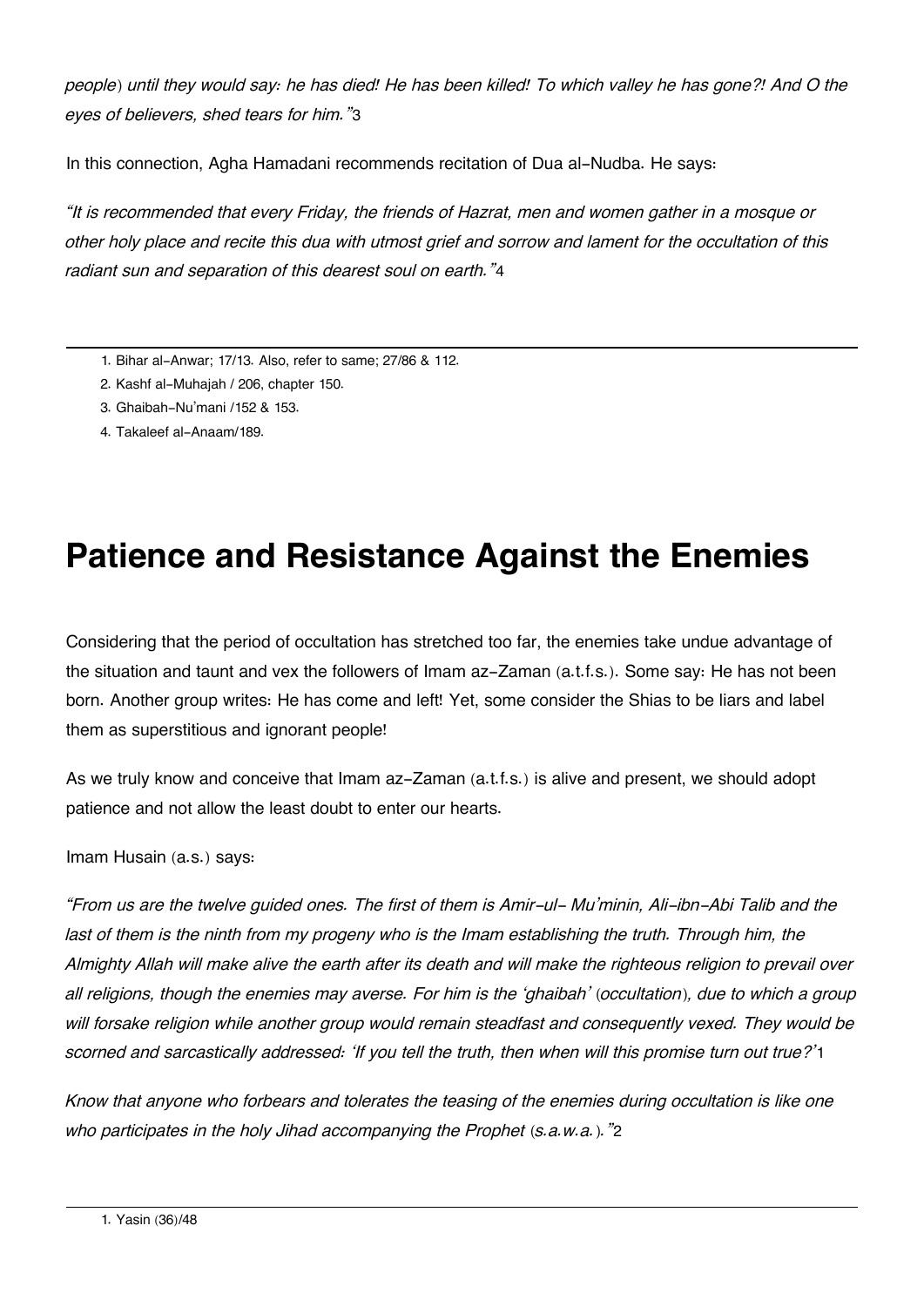*people) until they would say: he has died! He has been killed! To which valley he has gone?! And O the eyes of believers, shed tears for him."*[3](#page--1-0)

In this connection, Agha Hamadani recommends recitation of Dua al-Nudba. He says:

*"It is recommended that every Friday, the friends of Hazrat, men and women gather in a mosque or other holy place and recite this dua with utmost grief and sorrow and lament for the occultation of this radiant sun and separation of this dearest soul on earth."*[4](#page--1-0)

- [1.](#page--1-0) Bihar al-Anwar; 17/13. Also, refer to same; 27/86 & 112.
- [2.](#page--1-0) Kashf al-Muhajah / 206, chapter 150.
- [3.](#page--1-0) Ghaibah-Nu'mani /152 & 153.
- [4.](#page--1-0) Takaleef al-Anaam/189.

# **Patience and Resistance Against the Enemies**

Considering that the period of occultation has stretched too far, the enemies take undue advantage of the situation and taunt and vex the followers of Imam az-Zaman (a.t.f.s.). Some say: He has not been born. Another group writes: He has come and left! Yet, some consider the Shias to be liars and label them as superstitious and ignorant people!

As we truly know and conceive that Imam az-Zaman (a.t.f.s.) is alive and present, we should adopt patience and not allow the least doubt to enter our hearts.

Imam Husain (a.s.) says:

*"From us are the twelve guided ones. The first of them is Amir-ul- Mu'minin, Ali-ibn-Abi Talib and the last of them is the ninth from my progeny who is the Imam establishing the truth. Through him, the Almighty Allah will make alive the earth after its death and will make the righteous religion to prevail over all religions, though the enemies may averse. For him is the 'ghaibah' (occultation), due to which a group will forsake religion while another group would remain steadfast and consequently vexed. They would be scorned and sarcastically addressed: 'If you tell the truth, then when will this promise turn out true?'*[1](#page--1-0)

*Know that anyone who forbears and tolerates the teasing of the enemies during occultation is like one who participates in the holy Jihad accompanying the Prophet (s.a.w.a.)."*[2](#page--1-0)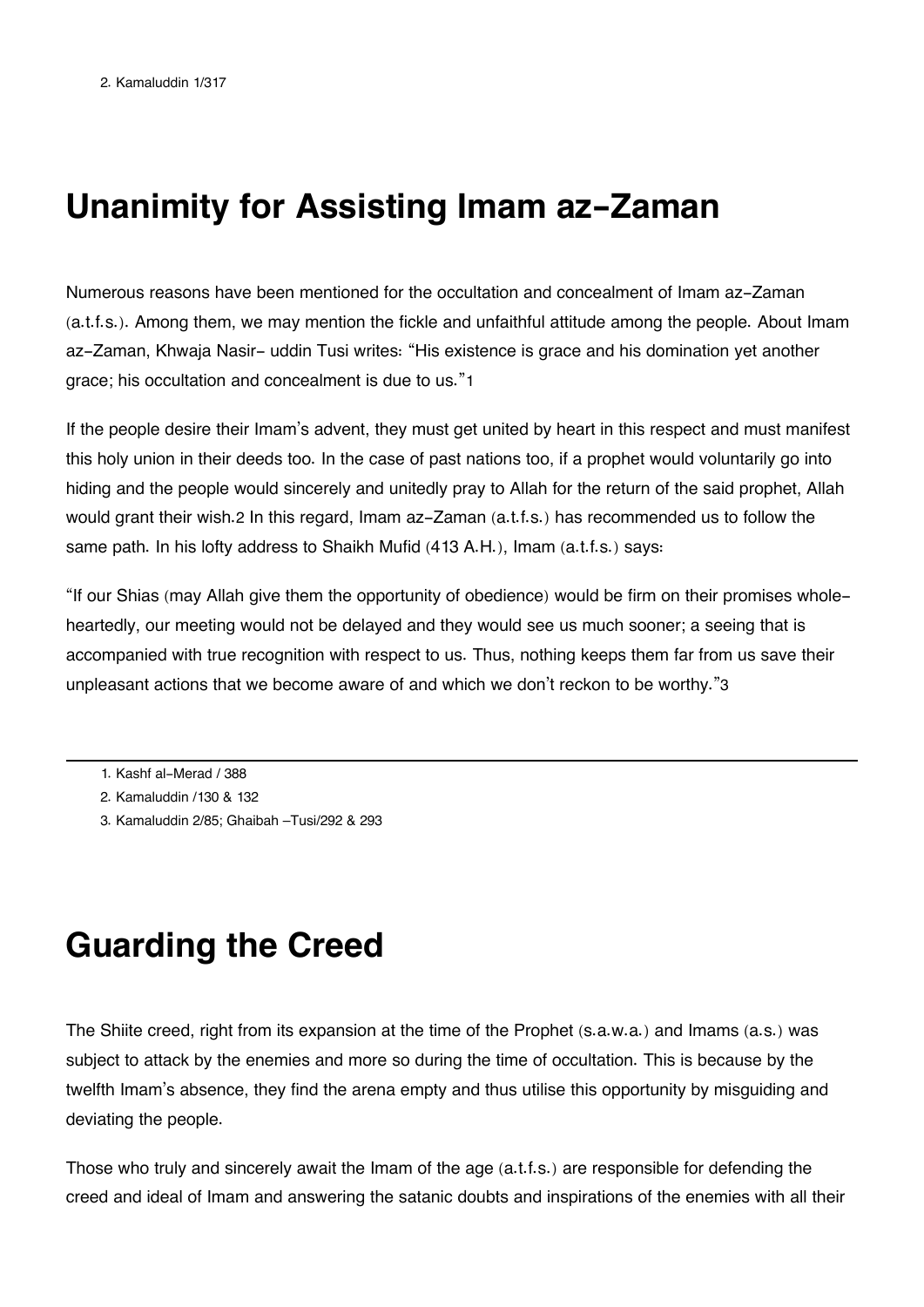# **Unanimity for Assisting Imam az-Zaman**

Numerous reasons have been mentioned for the occultation and concealment of Imam az-Zaman (a.t.f.s.). Among them, we may mention the fickle and unfaithful attitude among the people. About Imam az-Zaman, Khwaja Nasir- uddin Tusi writes: "His existence is grace and his domination yet another grace; his occultation and concealment is due to us."[1](#page--1-0)

If the people desire their Imam's advent, they must get united by heart in this respect and must manifest this holy union in their deeds too. In the case of past nations too, if a prophet would voluntarily go into hiding and the people would sincerely and unitedly pray to Allah for the return of the said prophet, Allah would grant their wish.[2](#page--1-0) In this regard, Imam az-Zaman (a.t.f.s.) has recommended us to follow the same path. In his lofty address to Shaikh Mufid (413 A.H.), Imam (a.t.f.s.) says:

"If our Shias (may Allah give them the opportunity of obedience) would be firm on their promises wholeheartedly, our meeting would not be delayed and they would see us much sooner; a seeing that is accompanied with true recognition with respect to us. Thus, nothing keeps them far from us save their unpleasant actions that we become aware of and which we don't reckon to be worthy."[3](#page--1-0)

- [1.](#page--1-0) Kashf al-Merad / 388
- [2.](#page--1-0) Kamaluddin /130 & 132
- [3.](#page--1-0) Kamaluddin 2/85; Ghaibah –Tusi/292 & 293

## **Guarding the Creed**

The Shiite creed, right from its expansion at the time of the Prophet (s.a.w.a.) and Imams (a.s.) was subject to attack by the enemies and more so during the time of occultation. This is because by the twelfth Imam's absence, they find the arena empty and thus utilise this opportunity by misguiding and deviating the people.

Those who truly and sincerely await the Imam of the age (a.t.f.s.) are responsible for defending the creed and ideal of Imam and answering the satanic doubts and inspirations of the enemies with all their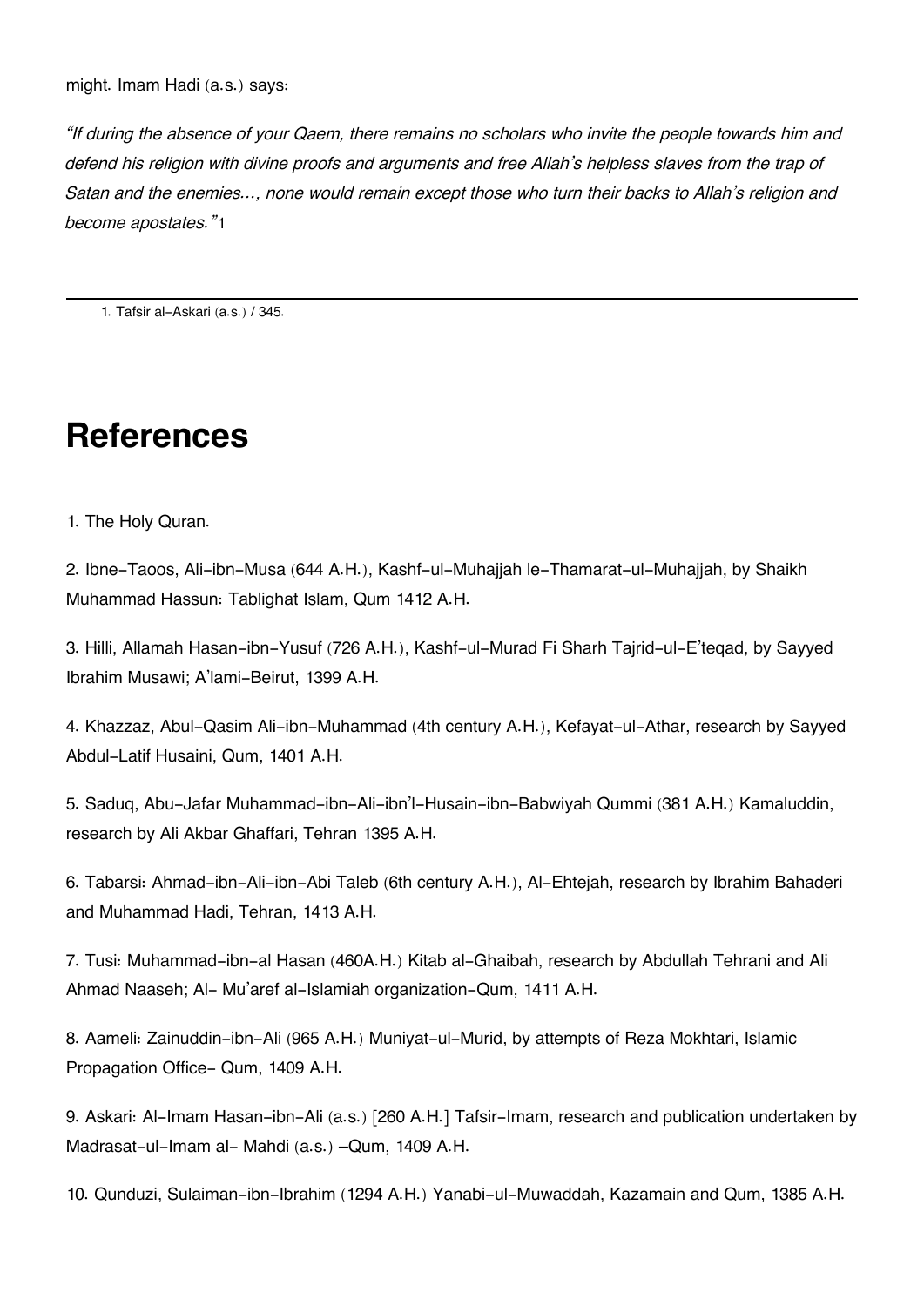*"If during the absence of your Qaem, there remains no scholars who invite the people towards him and defend his religion with divine proofs and arguments and free Allah's helpless slaves from the trap of Satan and the enemies…, none would remain except those who turn their backs to Allah's religion and become apostates."*[1](#page--1-0)

[1.](#page--1-0) Tafsir al-Askari (a.s.) / 345.

# **References**

1. The Holy Quran.

2. Ibne-Taoos, Ali-ibn-Musa (644 A.H.), Kashf-ul-Muhajjah le-Thamarat-ul-Muhajjah, by Shaikh Muhammad Hassun: Tablighat Islam, Qum 1412 A.H.

3. Hilli, Allamah Hasan-ibn-Yusuf (726 A.H.), Kashf-ul-Murad Fi Sharh Tajrid-ul-E'teqad, by Sayyed Ibrahim Musawi; A'lami-Beirut, 1399 A.H.

4. Khazzaz, Abul-Qasim Ali-ibn-Muhammad (4th century A.H.), Kefayat-ul-Athar, research by Sayyed Abdul-Latif Husaini, Qum, 1401 A.H.

5. Saduq, Abu-Jafar Muhammad-ibn-Ali-ibn'l-Husain-ibn-Babwiyah Qummi (381 A.H.) Kamaluddin, research by Ali Akbar Ghaffari, Tehran 1395 A.H.

6. Tabarsi: Ahmad-ibn-Ali-ibn-Abi Taleb (6th century A.H.), Al-Ehtejah, research by Ibrahim Bahaderi and Muhammad Hadi, Tehran, 1413 A.H.

7. Tusi: Muhammad-ibn-al Hasan (460A.H.) Kitab al-Ghaibah, research by Abdullah Tehrani and Ali Ahmad Naaseh; Al- Mu'aref al-Islamiah organization-Qum, 1411 A.H.

8. Aameli: Zainuddin-ibn-Ali (965 A.H.) Muniyat-ul-Murid, by attempts of Reza Mokhtari, Islamic Propagation Office- Qum, 1409 A.H.

9. Askari: Al-Imam Hasan-ibn-Ali (a.s.) [260 A.H.] Tafsir-Imam, research and publication undertaken by Madrasat-ul-Imam al- Mahdi (a.s.) –Qum, 1409 A.H.

10. Qunduzi, Sulaiman-ibn-Ibrahim (1294 A.H.) Yanabi-ul-Muwaddah, Kazamain and Qum, 1385 A.H.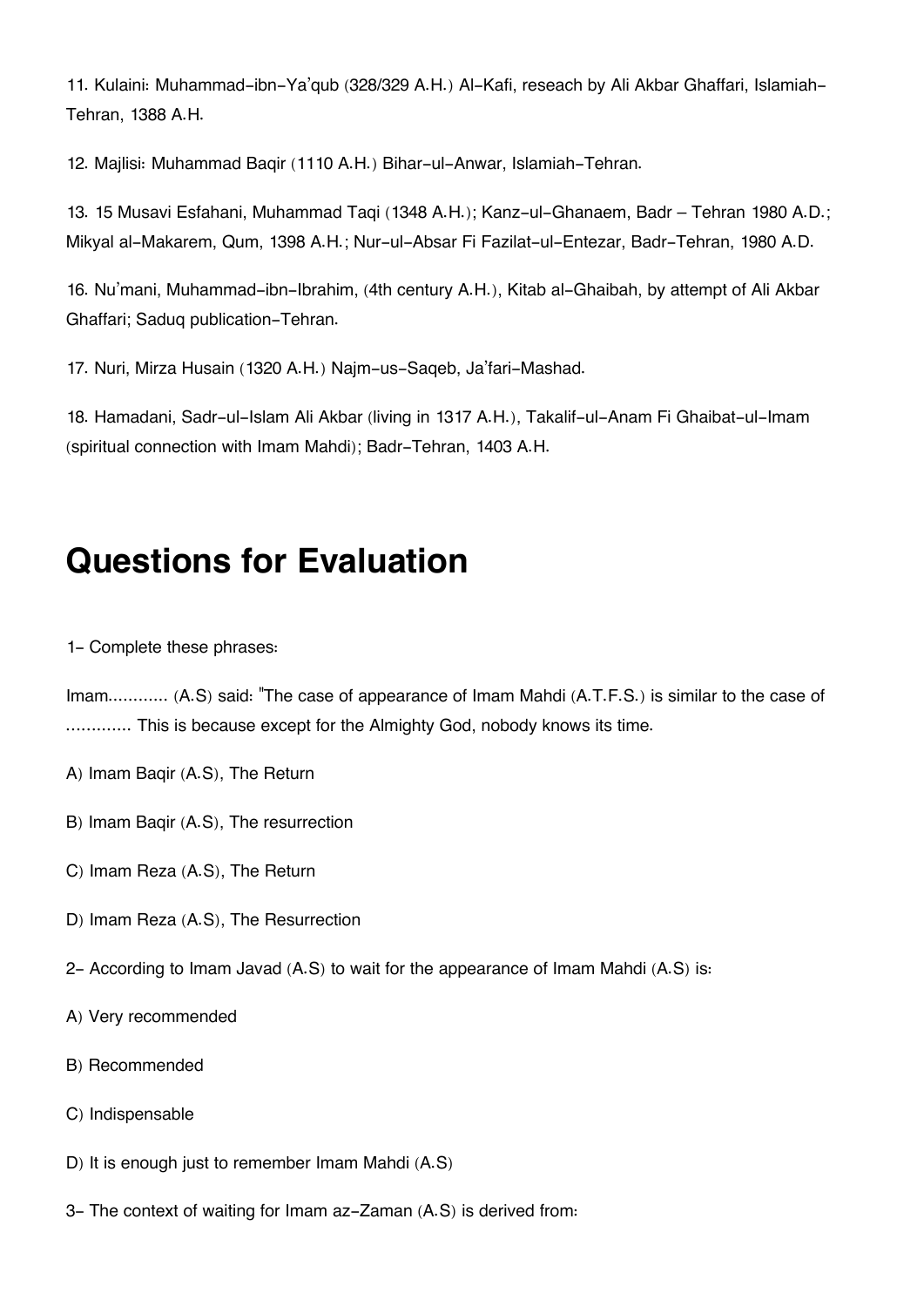11. Kulaini: Muhammad-ibn-Ya'qub (328/329 A.H.) Al-Kafi, reseach by Ali Akbar Ghaffari, Islamiah-Tehran, 1388 A.H.

12. Majlisi: Muhammad Baqir (1110 A.H.) Bihar-ul-Anwar, Islamiah-Tehran.

13. 15 Musavi Esfahani, Muhammad Taqi (1348 A.H.); Kanz-ul-Ghanaem, Badr – Tehran 1980 A.D.; Mikyal al-Makarem, Qum, 1398 A.H.; Nur-ul-Absar Fi Fazilat-ul-Entezar, Badr-Tehran, 1980 A.D.

16. Nu'mani, Muhammad-ibn-Ibrahim, (4th century A.H.), Kitab al-Ghaibah, by attempt of Ali Akbar Ghaffari; Saduq publication-Tehran.

17. Nuri, Mirza Husain (1320 A.H.) Najm-us-Saqeb, Ja'fari-Mashad.

18. Hamadani, Sadr-ul-Islam Ali Akbar (living in 1317 A.H.), Takalif-ul-Anam Fi Ghaibat-ul-Imam (spiritual connection with Imam Mahdi); Badr-Tehran, 1403 A.H.

# **Questions for Evaluation**

1- Complete these phrases:

Imam............. (A.S) said: "The case of appearance of Imam Mahdi (A.T.F.S.) is similar to the case of ……....... This is because except for the Almighty God, nobody knows its time.

- A) Imam Baqir (A.S), The Return
- B) Imam Baqir (A.S), The resurrection
- C) Imam Reza (A.S), The Return
- D) Imam Reza (A.S), The Resurrection
- 2- According to Imam Javad (A.S) to wait for the appearance of Imam Mahdi (A.S) is:
- A) Very recommended
- B) Recommended
- C) Indispensable
- D) It is enough just to remember Imam Mahdi (A.S)
- 3- The context of waiting for Imam az-Zaman (A.S) is derived from: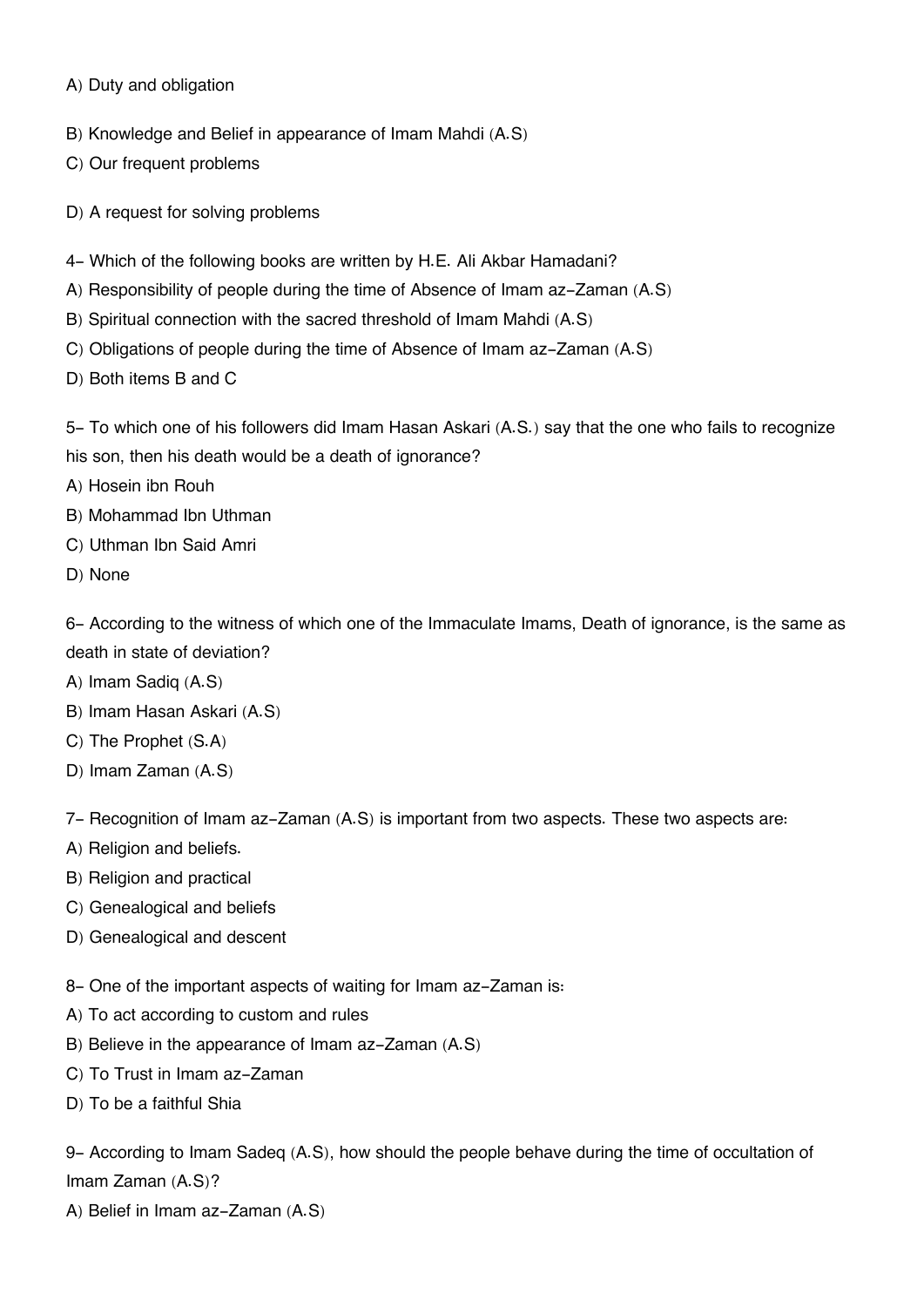A) Duty and obligation

B) Knowledge and Belief in appearance of Imam Mahdi (A.S)

C) Our frequent problems

D) A request for solving problems

- 4- Which of the following books are written by H.E. Ali Akbar Hamadani?
- A) Responsibility of people during the time of Absence of Imam az-Zaman (A.S)
- B) Spiritual connection with the sacred threshold of Imam Mahdi (A.S)
- C) Obligations of people during the time of Absence of Imam az-Zaman (A.S)
- D) Both items B and C

5- To which one of his followers did Imam Hasan Askari (A.S.) say that the one who fails to recognize his son, then his death would be a death of ignorance?

A) Hosein ibn Rouh

- B) Mohammad Ibn Uthman
- C) Uthman Ibn Said Amri
- D) None

6- According to the witness of which one of the Immaculate Imams, Death of ignorance, is the same as death in state of deviation?

- A) Imam Sadiq (A.S)
- B) Imam Hasan Askari (A.S)
- C) The Prophet (S.A)
- D) Imam Zaman (A.S)

7- Recognition of Imam az-Zaman (A.S) is important from two aspects. These two aspects are:

- A) Religion and beliefs.
- B) Religion and practical
- C) Genealogical and beliefs
- D) Genealogical and descent

8- One of the important aspects of waiting for Imam az-Zaman is:

- A) To act according to custom and rules
- B) Believe in the appearance of Imam az-Zaman (A.S)
- C) To Trust in Imam az-Zaman
- D) To be a faithful Shia

9- According to Imam Sadeq (A.S), how should the people behave during the time of occultation of Imam Zaman (A.S)?

A) Belief in Imam az-Zaman (A.S)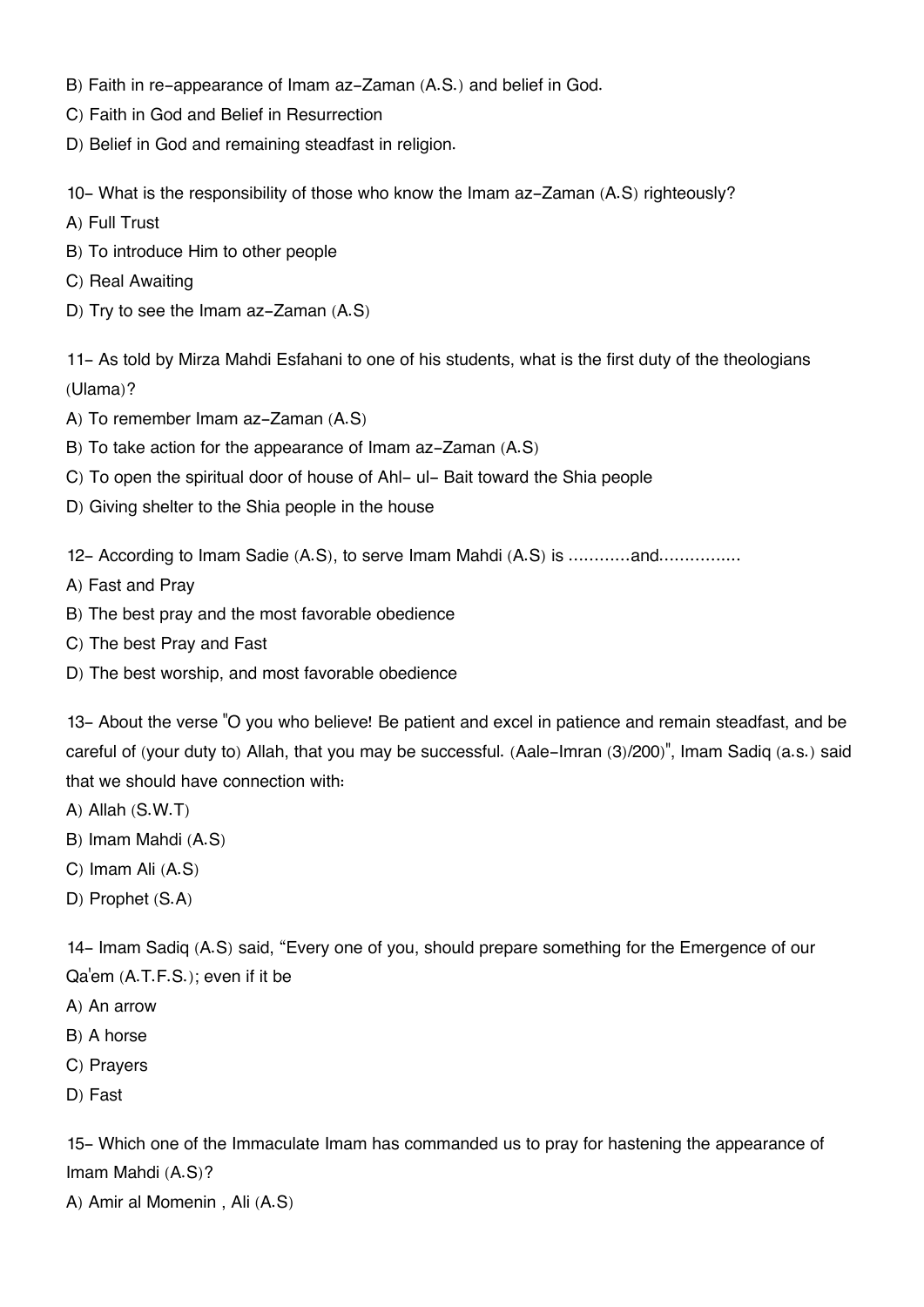- B) Faith in re-appearance of Imam az-Zaman (A.S.) and belief in God.
- C) Faith in God and Belief in Resurrection
- D) Belief in God and remaining steadfast in religion.

10- What is the responsibility of those who know the Imam az-Zaman (A.S) righteously?

- A) Full Trust
- B) To introduce Him to other people
- C) Real Awaiting
- D) Try to see the Imam az-Zaman (A.S)

11- As told by Mirza Mahdi Esfahani to one of his students, what is the first duty of the theologians (Ulama)?

- A) To remember Imam az-Zaman (A.S)
- B) To take action for the appearance of Imam az-Zaman (A.S)
- C) To open the spiritual door of house of Ahl- ul- Bait toward the Shia people
- D) Giving shelter to the Shia people in the house
- 12- According to Imam Sadie (A.S), to serve Imam Mahdi (A.S) is …………and…………....
- A) Fast and Pray
- B) The best pray and the most favorable obedience
- C) The best Pray and Fast
- D) The best worship, and most favorable obedience

13- About the verse "O you who believe! Be patient and excel in patience and remain steadfast, and be careful of (your duty to) Allah, that you may be successful. (Aale-Imran (3)/200)", Imam Sadiq (a.s.) said that we should have connection with:

- A) Allah (S.W.T)
- B) Imam Mahdi (A.S)
- C) Imam Ali (A.S)
- D) Prophet (S.A)

14- Imam Sadiq (A.S) said, "Every one of you, should prepare something for the Emergence of our Qa'em (A.T.F.S.); even if it be

- A) An arrow
- B) A horse
- C) Prayers
- D) Fast

15- Which one of the Immaculate Imam has commanded us to pray for hastening the appearance of Imam Mahdi (A.S)?

A) Amir al Momenin , Ali (A.S)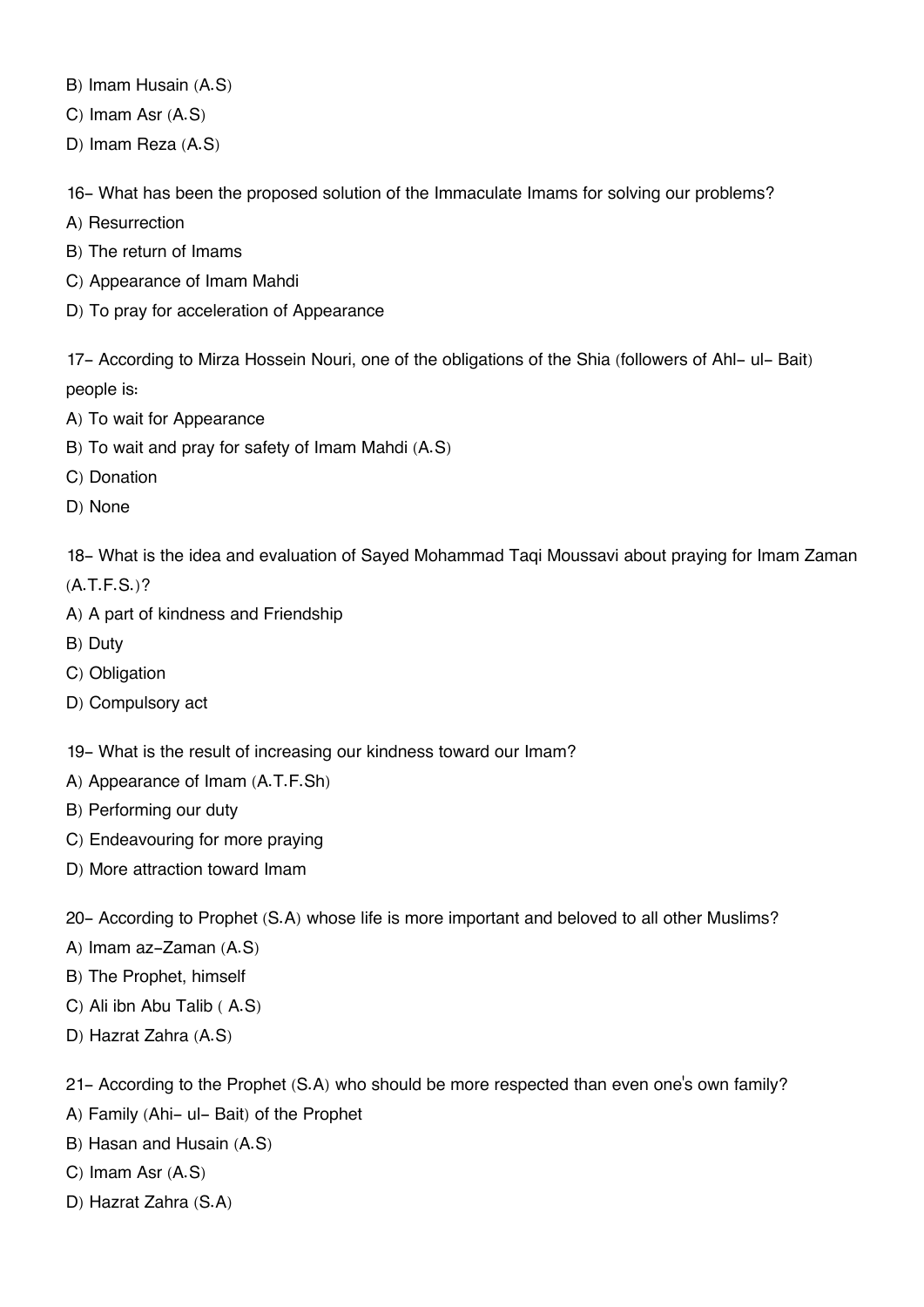B) Imam Husain (A.S)

C) Imam Asr (A.S)

D) Imam Reza (A.S)

16- What has been the proposed solution of the Immaculate Imams for solving our problems?

- A) Resurrection
- B) The return of Imams
- C) Appearance of Imam Mahdi
- D) To pray for acceleration of Appearance

17- According to Mirza Hossein Nouri, one of the obligations of the Shia (followers of Ahl- ul- Bait) people is:

- A) To wait for Appearance
- B) To wait and pray for safety of Imam Mahdi (A.S)
- C) Donation
- D) None

18- What is the idea and evaluation of Sayed Mohammad Taqi Moussavi about praying for Imam Zaman

(A.T.F.S.)?

- A) A part of kindness and Friendship
- B) Duty
- C) Obligation
- D) Compulsory act
- 19- What is the result of increasing our kindness toward our Imam?
- A) Appearance of Imam (A.T.F.Sh)
- B) Performing our duty
- C) Endeavouring for more praying
- D) More attraction toward Imam
- 20- According to Prophet (S.A) whose life is more important and beloved to all other Muslims?
- A) Imam az-Zaman (A.S)
- B) The Prophet, himself
- C) Ali ibn Abu Talib ( A.S)
- D) Hazrat Zahra (A.S)

21- According to the Prophet (S.A) who should be more respected than even one's own family?

- A) Family (Ahi- ul- Bait) of the Prophet
- B) Hasan and Husain (A.S)
- C) Imam Asr (A.S)
- D) Hazrat Zahra (S.A)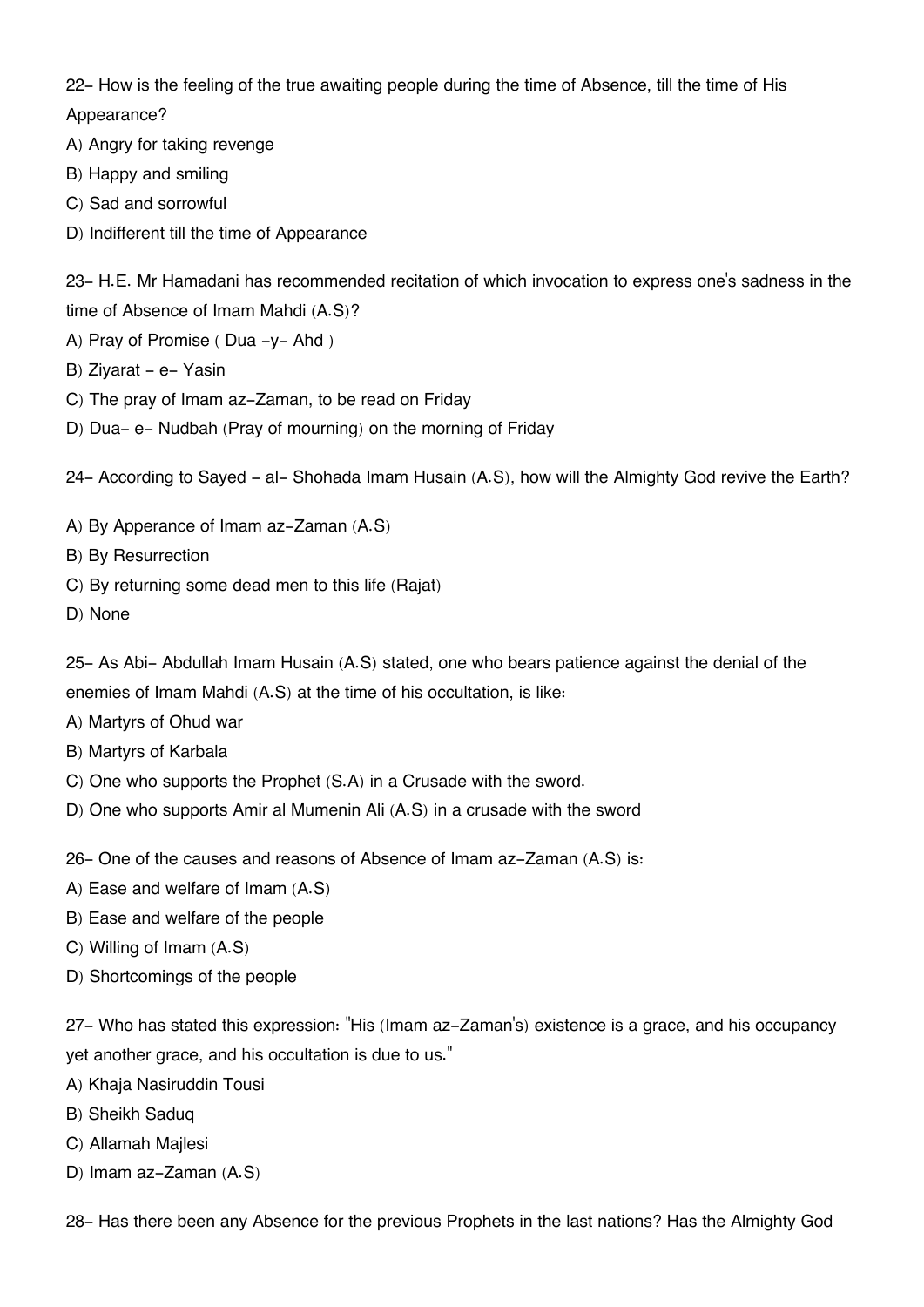22- How is the feeling of the true awaiting people during the time of Absence, till the time of His Appearance?

- A) Angry for taking revenge
- B) Happy and smiling
- C) Sad and sorrowful
- D) Indifferent till the time of Appearance

23- H.E. Mr Hamadani has recommended recitation of which invocation to express one's sadness in the time of Absence of Imam Mahdi (A.S)?

- A) Pray of Promise ( Dua -y- Ahd )
- B) Ziyarat e- Yasin
- C) The pray of Imam az-Zaman, to be read on Friday
- D) Dua- e- Nudbah (Pray of mourning) on the morning of Friday

24- According to Sayed - al- Shohada Imam Husain (A.S), how will the Almighty God revive the Earth?

- A) By Apperance of Imam az-Zaman (A.S)
- B) By Resurrection
- C) By returning some dead men to this life (Rajat)
- D) None

25- As Abi- Abdullah Imam Husain (A.S) stated, one who bears patience against the denial of the enemies of Imam Mahdi (A.S) at the time of his occultation, is like:

- A) Martyrs of Ohud war
- B) Martyrs of Karbala
- C) One who supports the Prophet (S.A) in a Crusade with the sword.
- D) One who supports Amir al Mumenin Ali (A.S) in a crusade with the sword
- 26- One of the causes and reasons of Absence of Imam az-Zaman (A.S) is:
- A) Ease and welfare of Imam (A.S)
- B) Ease and welfare of the people
- C) Willing of Imam (A.S)
- D) Shortcomings of the people

27- Who has stated this expression: "His (Imam az-Zaman's) existence is a grace, and his occupancy yet another grace, and his occultation is due to us."

- A) Khaja Nasiruddin Tousi
- B) Sheikh Saduq
- C) Allamah Majlesi
- D) Imam az-Zaman (A.S)

28- Has there been any Absence for the previous Prophets in the last nations? Has the Almighty God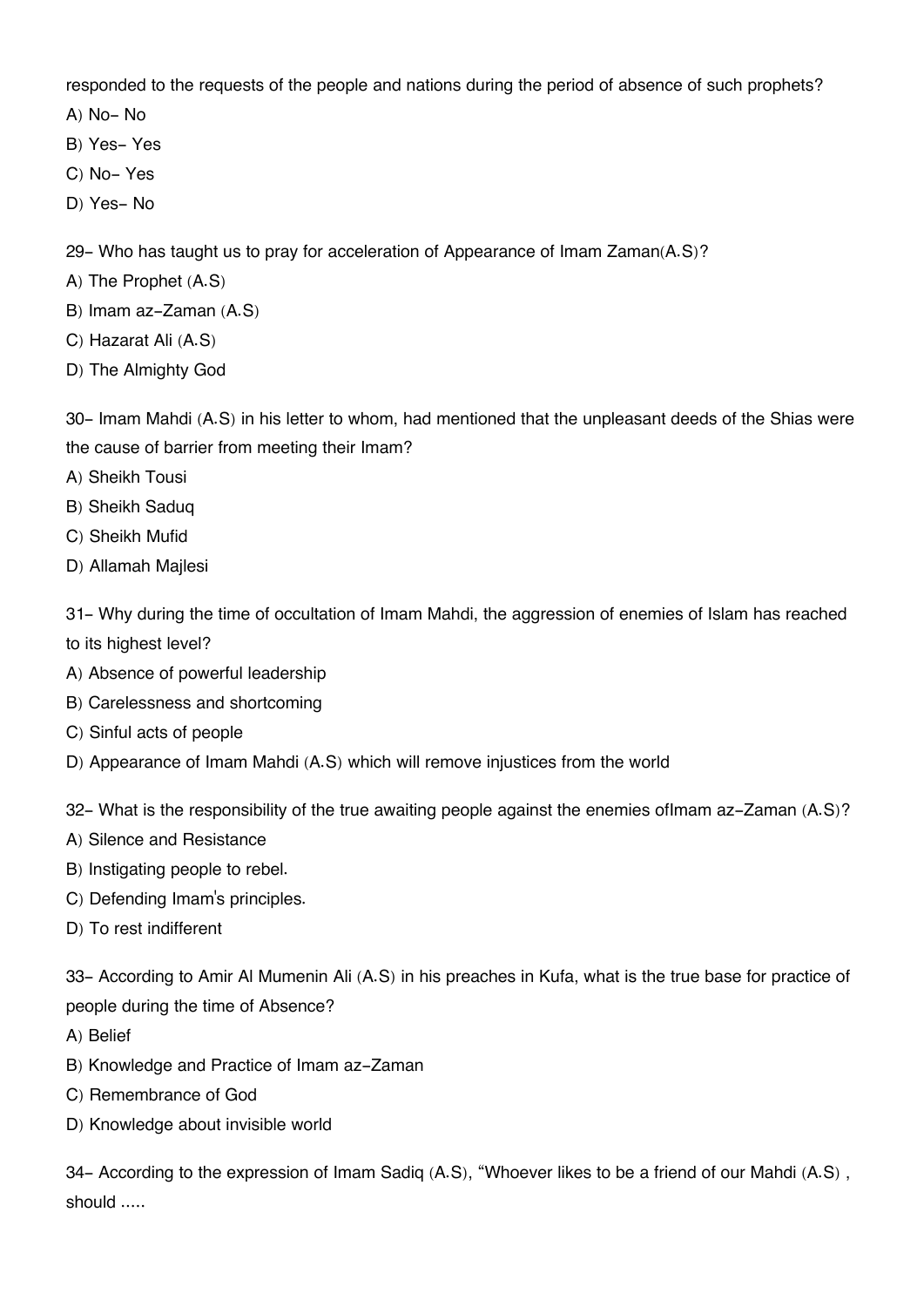responded to the requests of the people and nations during the period of absence of such prophets?

A) No- No

- B) Yes- Yes
- C) No- Yes
- D) Yes- No

29- Who has taught us to pray for acceleration of Appearance of Imam Zaman(A.S)?

- A) The Prophet (A.S)
- B) Imam az-Zaman (A.S)
- C) Hazarat Ali (A.S)
- D) The Almighty God

30- Imam Mahdi (A.S) in his letter to whom, had mentioned that the unpleasant deeds of the Shias were the cause of barrier from meeting their Imam?

- A) Sheikh Tousi
- B) Sheikh Saduq
- C) Sheikh Mufid
- D) Allamah Majlesi

31- Why during the time of occultation of Imam Mahdi, the aggression of enemies of Islam has reached to its highest level?

- A) Absence of powerful leadership
- B) Carelessness and shortcoming
- C) Sinful acts of people

D) Appearance of Imam Mahdi (A.S) which will remove injustices from the world

32- What is the responsibility of the true awaiting people against the enemies ofImam az-Zaman (A.S)?

- A) Silence and Resistance
- B) Instigating people to rebel.
- C) Defending Imam's principles.
- D) To rest indifferent

33- According to Amir Al Mumenin Ali (A.S) in his preaches in Kufa, what is the true base for practice of people during the time of Absence?

- A) Belief
- B) Knowledge and Practice of Imam az-Zaman
- C) Remembrance of God
- D) Knowledge about invisible world

34- According to the expression of Imam Sadiq (A.S), "Whoever likes to be a friend of our Mahdi (A.S) , should .....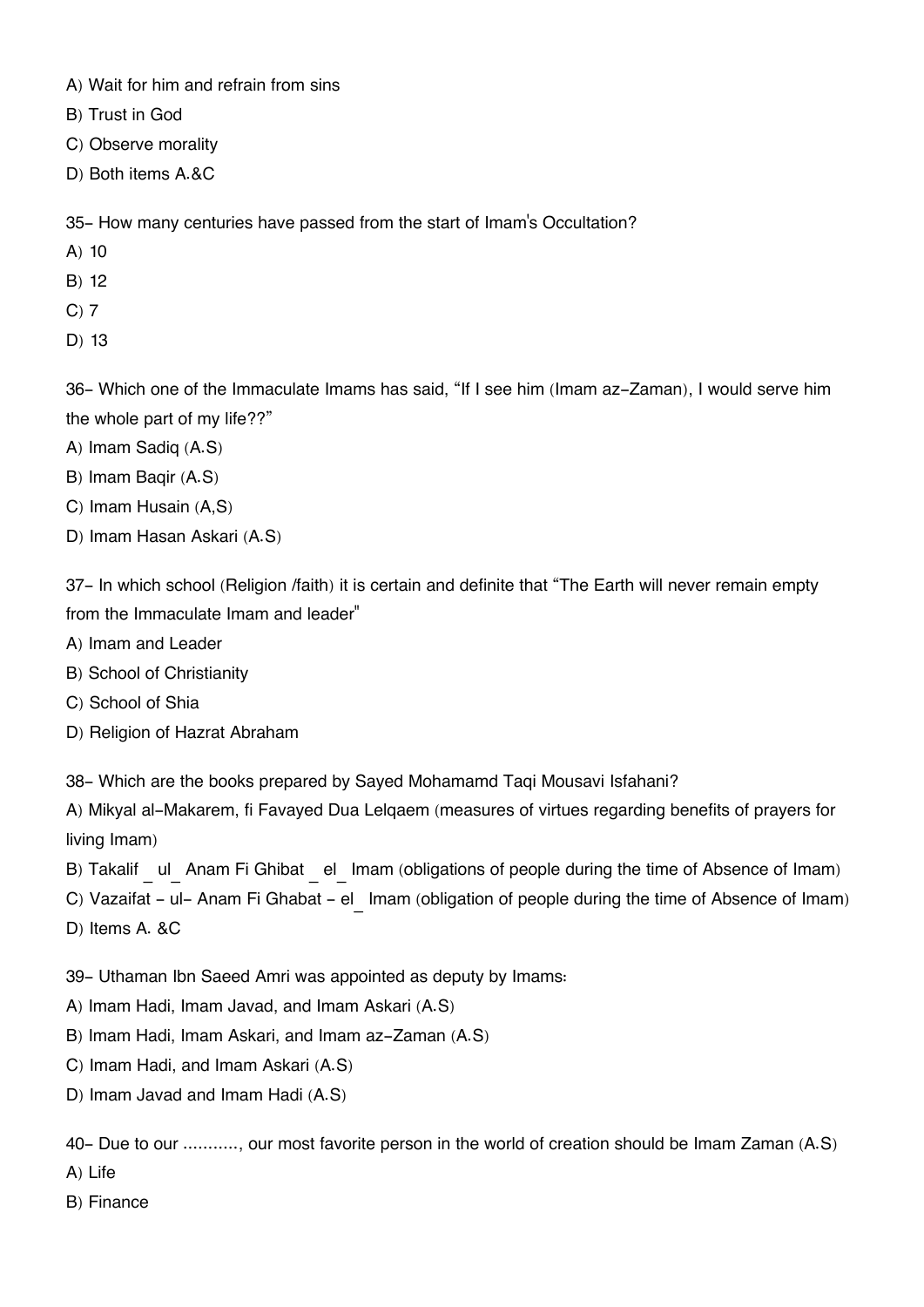- A) Wait for him and refrain from sins
- B) Trust in God
- C) Observe morality
- D) Both items A.&C

35- How many centuries have passed from the start of Imam's Occultation?

- A) 10
- B) 12
- C) 7
- D) 13

36- Which one of the Immaculate Imams has said, "If I see him (Imam az-Zaman), I would serve him the whole part of my life??"

- A) Imam Sadiq (A.S)
- B) Imam Baqir (A.S)
- C) Imam Husain (A,S)
- D) Imam Hasan Askari (A.S)

37- In which school (Religion /faith) it is certain and definite that "The Earth will never remain empty from the Immaculate Imam and leader"

- A) Imam and Leader
- B) School of Christianity
- C) School of Shia
- D) Religion of Hazrat Abraham

38- Which are the books prepared by Sayed Mohamamd Taqi Mousavi Isfahani?

A) Mikyal al-Makarem, fi Favayed Dua Lelqaem (measures of virtues regarding benefits of prayers for living Imam)

- B) Takalif ul Anam Fi Ghibat el Imam (obligations of people during the time of Absence of Imam)
- C) Vazaifat ul- Anam Fi Ghabat el Imam (obligation of people during the time of Absence of Imam)
- D) Items A. &C

39- Uthaman Ibn Saeed Amri was appointed as deputy by Imams:

- A) Imam Hadi, Imam Javad, and Imam Askari (A.S)
- B) Imam Hadi, Imam Askari, and Imam az-Zaman (A.S)
- C) Imam Hadi, and Imam Askari (A.S)
- D) Imam Javad and Imam Hadi (A.S)

40- Due to our ..........., our most favorite person in the world of creation should be Imam Zaman (A.S)

- A) Life
- B) Finance